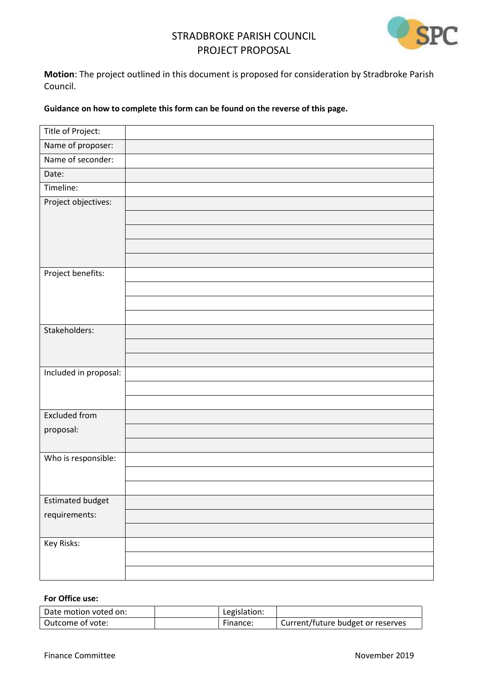# STRADBROKE PARISH COUNCIL PROJECT PROPOSAL



**Motion**: The project outlined in this document is proposed for consideration by Stradbroke Parish Council.

#### **Guidance on how to complete this form can be found on the reverse of this page.**

| Title of Project:       |  |
|-------------------------|--|
| Name of proposer:       |  |
| Name of seconder:       |  |
| Date:                   |  |
| Timeline:               |  |
| Project objectives:     |  |
|                         |  |
|                         |  |
|                         |  |
|                         |  |
| Project benefits:       |  |
|                         |  |
|                         |  |
|                         |  |
| Stakeholders:           |  |
|                         |  |
|                         |  |
| Included in proposal:   |  |
|                         |  |
| <b>Excluded from</b>    |  |
| proposal:               |  |
|                         |  |
| Who is responsible:     |  |
|                         |  |
|                         |  |
| <b>Estimated budget</b> |  |
| requirements:           |  |
|                         |  |
| Key Risks:              |  |
|                         |  |
|                         |  |

#### **For Office use:**

| Date motion voted on: | Legislation: |                                   |
|-----------------------|--------------|-----------------------------------|
| Outcome of vote:      | Finance:     | Current/future budget or reserves |